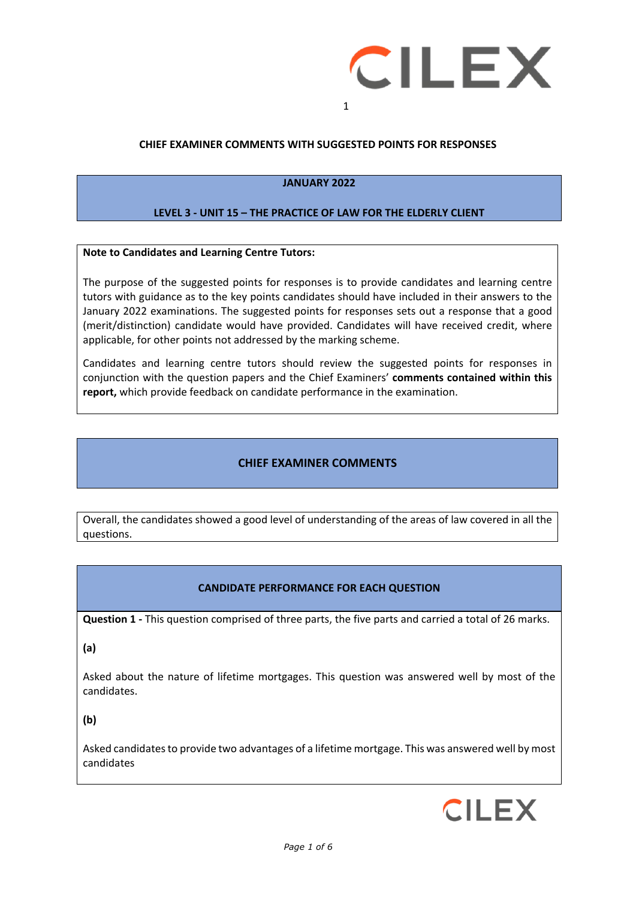

## **CHIEF EXAMINER COMMENTS WITH SUGGESTED POINTS FOR RESPONSES**

#### **JANUARY 2022**

#### **LEVEL 3 - UNIT 15 – THE PRACTICE OF LAW FOR THE ELDERLY CLIENT**

#### **Note to Candidates and Learning Centre Tutors:**

The purpose of the suggested points for responses is to provide candidates and learning centre tutors with guidance as to the key points candidates should have included in their answers to the January 2022 examinations. The suggested points for responses sets out a response that a good (merit/distinction) candidate would have provided. Candidates will have received credit, where applicable, for other points not addressed by the marking scheme.

Candidates and learning centre tutors should review the suggested points for responses in conjunction with the question papers and the Chief Examiners' **comments contained within this report,** which provide feedback on candidate performance in the examination.

## **CHIEF EXAMINER COMMENTS**

Overall, the candidates showed a good level of understanding of the areas of law covered in all the questions.

#### **CANDIDATE PERFORMANCE FOR EACH QUESTION**

**Question 1 -** This question comprised of three parts, the five parts and carried a total of 26 marks.

**(a)** 

Asked about the nature of lifetime mortgages. This question was answered well by most of the candidates.

**(b)**

Asked candidates to provide two advantages of a lifetime mortgage. This was answered well by most candidates

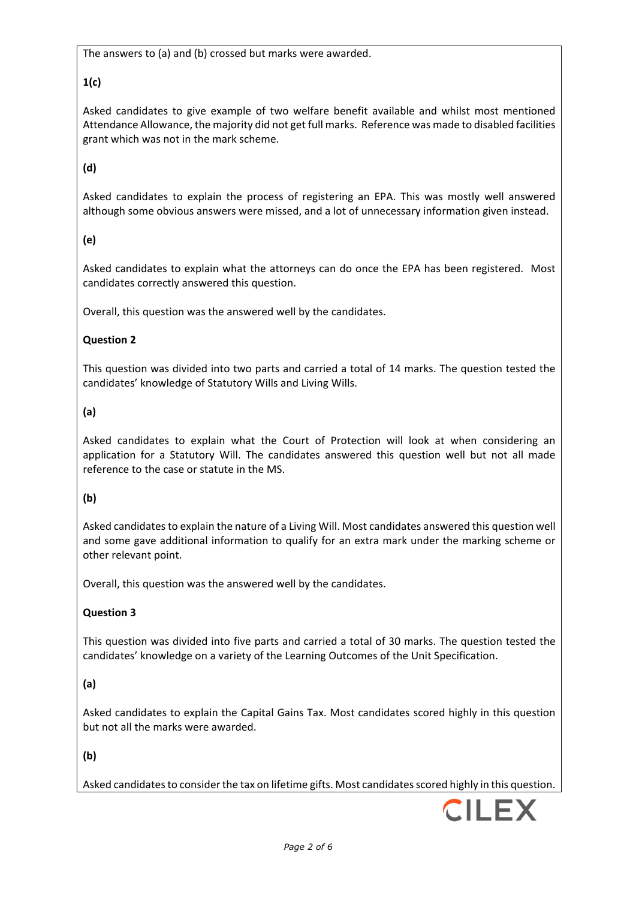The answers to (a) and (b) crossed but marks were awarded.

# **1(c)**

Asked candidates to give example of two welfare benefit available and whilst most mentioned Attendance Allowance, the majority did not get full marks. Reference was made to disabled facilities grant which was not in the mark scheme.

# **(d)**

Asked candidates to explain the process of registering an EPA. This was mostly well answered although some obvious answers were missed, and a lot of unnecessary information given instead.

# **(e)**

Asked candidates to explain what the attorneys can do once the EPA has been registered. Most candidates correctly answered this question.

Overall, this question was the answered well by the candidates.

## **Question 2**

This question was divided into two parts and carried a total of 14 marks. The question tested the candidates' knowledge of Statutory Wills and Living Wills.

# **(a)**

Asked candidates to explain what the Court of Protection will look at when considering an application for a Statutory Will. The candidates answered this question well but not all made reference to the case or statute in the MS.

## **(b)**

Asked candidates to explain the nature of a Living Will. Most candidates answered this question well and some gave additional information to qualify for an extra mark under the marking scheme or other relevant point.

Overall, this question was the answered well by the candidates.

# **Question 3**

This question was divided into five parts and carried a total of 30 marks. The question tested the candidates' knowledge on a variety of the Learning Outcomes of the Unit Specification.

## **(a)**

Asked candidates to explain the Capital Gains Tax. Most candidates scored highly in this question but not all the marks were awarded.

## **(b)**

Asked candidates to consider the tax on lifetime gifts. Most candidates scored highly in this question.

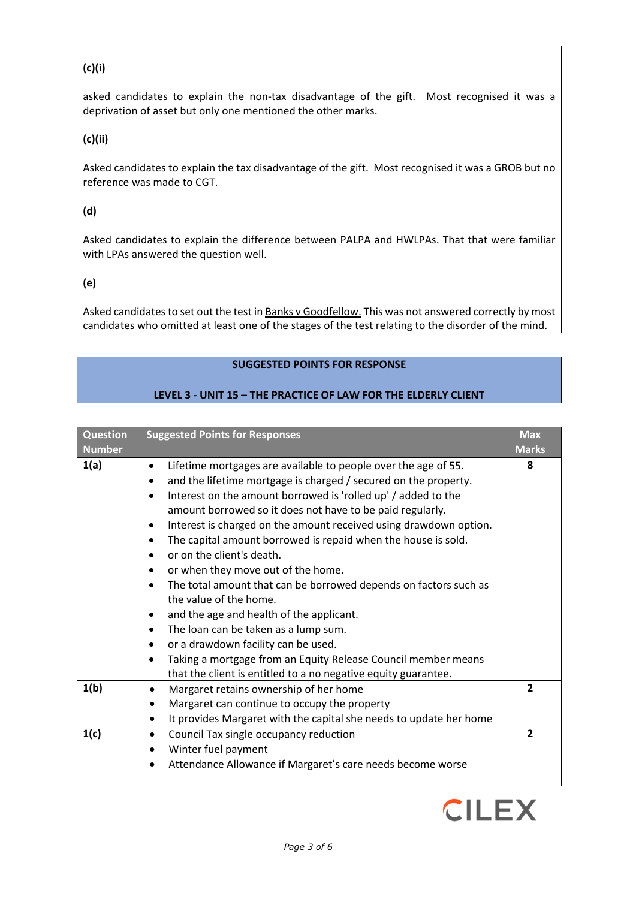# **(c)(i)**

asked candidates to explain the non-tax disadvantage of the gift. Most recognised it was a deprivation of asset but only one mentioned the other marks.

**(c)(ii)**

Asked candidates to explain the tax disadvantage of the gift. Most recognised it was a GROB but no reference was made to CGT.

**(d)**

Asked candidates to explain the difference between PALPA and HWLPAs. That that were familiar with LPAs answered the question well.

# **(e)**

Asked candidates to set out the test in Banks v Goodfellow. This was not answered correctly by most candidates who omitted at least one of the stages of the test relating to the disorder of the mind.

## **SUGGESTED POINTS FOR RESPONSE**

# **LEVEL 3 - UNIT 15 – THE PRACTICE OF LAW FOR THE ELDERLY CLIENT**

| <b>Question</b><br><b>Number</b> | <b>Suggested Points for Responses</b>                                                                                                                                                                                                                                                                                                                                                                                                                                                                                                                                                                                                                                                                                                                                                                                                                                                                                                                               | <b>Max</b><br><b>Marks</b> |
|----------------------------------|---------------------------------------------------------------------------------------------------------------------------------------------------------------------------------------------------------------------------------------------------------------------------------------------------------------------------------------------------------------------------------------------------------------------------------------------------------------------------------------------------------------------------------------------------------------------------------------------------------------------------------------------------------------------------------------------------------------------------------------------------------------------------------------------------------------------------------------------------------------------------------------------------------------------------------------------------------------------|----------------------------|
| 1(a)                             | Lifetime mortgages are available to people over the age of 55.<br>$\bullet$<br>and the lifetime mortgage is charged / secured on the property.<br>$\bullet$<br>Interest on the amount borrowed is 'rolled up' / added to the<br>$\bullet$<br>amount borrowed so it does not have to be paid regularly.<br>Interest is charged on the amount received using drawdown option.<br>٠<br>The capital amount borrowed is repaid when the house is sold.<br>$\bullet$<br>or on the client's death.<br>$\bullet$<br>or when they move out of the home.<br>$\bullet$<br>The total amount that can be borrowed depends on factors such as<br>$\bullet$<br>the value of the home.<br>and the age and health of the applicant.<br>٠<br>The loan can be taken as a lump sum.<br>$\bullet$<br>or a drawdown facility can be used.<br>$\bullet$<br>Taking a mortgage from an Equity Release Council member means<br>that the client is entitled to a no negative equity guarantee. | 8                          |
| 1(b)                             | Margaret retains ownership of her home<br>$\bullet$<br>Margaret can continue to occupy the property<br>$\bullet$<br>It provides Margaret with the capital she needs to update her home<br>$\bullet$                                                                                                                                                                                                                                                                                                                                                                                                                                                                                                                                                                                                                                                                                                                                                                 | $\overline{2}$             |
| 1(c)                             | Council Tax single occupancy reduction<br>$\bullet$<br>Winter fuel payment<br>$\bullet$<br>Attendance Allowance if Margaret's care needs become worse<br>٠                                                                                                                                                                                                                                                                                                                                                                                                                                                                                                                                                                                                                                                                                                                                                                                                          | $\overline{2}$             |

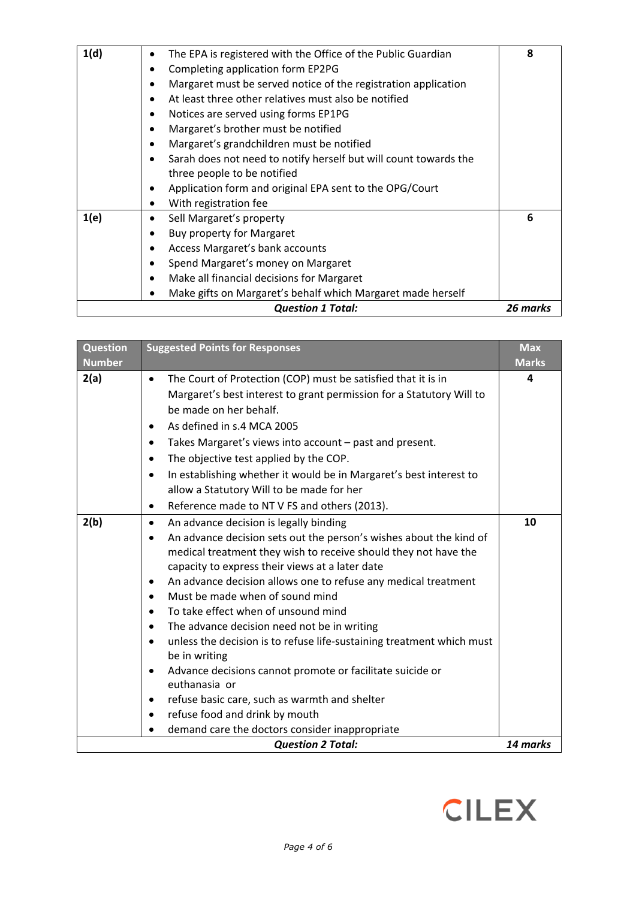| 1(d) | The EPA is registered with the Office of the Public Guardian     | 8        |
|------|------------------------------------------------------------------|----------|
|      | Completing application form EP2PG                                |          |
|      | Margaret must be served notice of the registration application   |          |
|      | At least three other relatives must also be notified             |          |
|      | Notices are served using forms EP1PG                             |          |
|      | Margaret's brother must be notified                              |          |
|      | Margaret's grandchildren must be notified                        |          |
|      | Sarah does not need to notify herself but will count towards the |          |
|      | three people to be notified                                      |          |
|      | Application form and original EPA sent to the OPG/Court          |          |
|      | With registration fee                                            |          |
| 1(e) | Sell Margaret's property                                         | 6        |
|      | Buy property for Margaret                                        |          |
|      | Access Margaret's bank accounts                                  |          |
|      | Spend Margaret's money on Margaret                               |          |
|      | Make all financial decisions for Margaret                        |          |
|      | Make gifts on Margaret's behalf which Margaret made herself      |          |
|      | <b>Question 1 Total:</b>                                         | 26 marks |

| <b>Question</b><br><b>Number</b> | <b>Suggested Points for Responses</b>                                                                                                                                                                                                                                                                                                                                                                                                                                                                                                                                                                                                                                                                                                                                                                                                                                             | <b>Max</b><br><b>Marks</b> |
|----------------------------------|-----------------------------------------------------------------------------------------------------------------------------------------------------------------------------------------------------------------------------------------------------------------------------------------------------------------------------------------------------------------------------------------------------------------------------------------------------------------------------------------------------------------------------------------------------------------------------------------------------------------------------------------------------------------------------------------------------------------------------------------------------------------------------------------------------------------------------------------------------------------------------------|----------------------------|
| 2(a)                             | The Court of Protection (COP) must be satisfied that it is in<br>$\bullet$<br>Margaret's best interest to grant permission for a Statutory Will to<br>be made on her behalf.<br>As defined in s.4 MCA 2005<br>$\bullet$<br>Takes Margaret's views into account - past and present.<br>$\bullet$<br>The objective test applied by the COP.<br>$\bullet$<br>In establishing whether it would be in Margaret's best interest to<br>$\bullet$<br>allow a Statutory Will to be made for her<br>Reference made to NT V FS and others (2013).<br>$\bullet$                                                                                                                                                                                                                                                                                                                               | 4                          |
| 2(b)                             | An advance decision is legally binding<br>$\bullet$<br>An advance decision sets out the person's wishes about the kind of<br>$\bullet$<br>medical treatment they wish to receive should they not have the<br>capacity to express their views at a later date<br>An advance decision allows one to refuse any medical treatment<br>$\bullet$<br>Must be made when of sound mind<br>$\bullet$<br>To take effect when of unsound mind<br>$\bullet$<br>The advance decision need not be in writing<br>٠<br>unless the decision is to refuse life-sustaining treatment which must<br>$\bullet$<br>be in writing<br>Advance decisions cannot promote or facilitate suicide or<br>$\bullet$<br>euthanasia or<br>refuse basic care, such as warmth and shelter<br>$\bullet$<br>refuse food and drink by mouth<br>$\bullet$<br>demand care the doctors consider inappropriate<br>$\bullet$ | 10                         |
|                                  | <b>Question 2 Total:</b>                                                                                                                                                                                                                                                                                                                                                                                                                                                                                                                                                                                                                                                                                                                                                                                                                                                          | 14 marks                   |

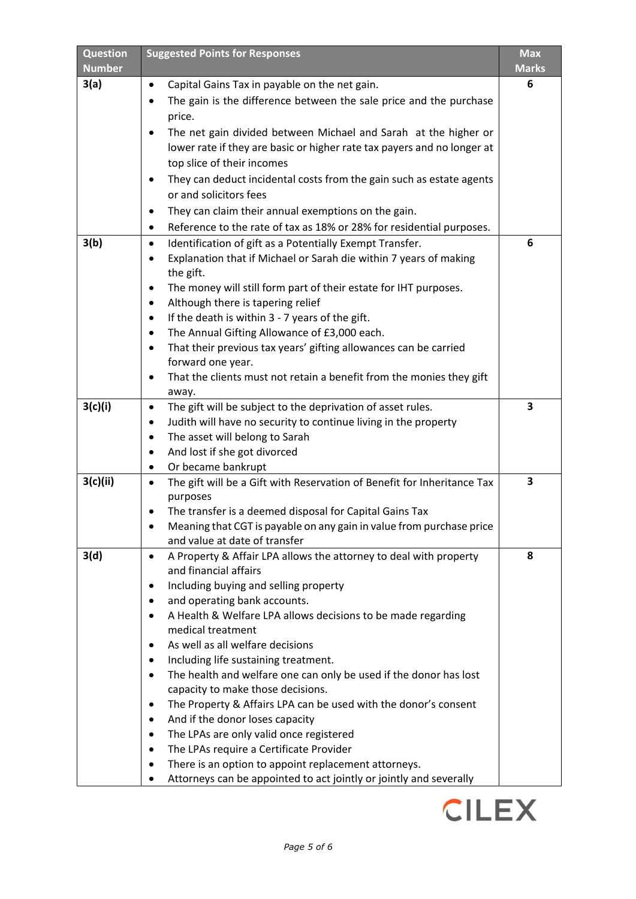| <b>Question</b><br><b>Number</b> | <b>Suggested Points for Responses</b>                                                                          | Max<br><b>Marks</b> |
|----------------------------------|----------------------------------------------------------------------------------------------------------------|---------------------|
| 3(a)                             | Capital Gains Tax in payable on the net gain.<br>$\bullet$                                                     | 6                   |
|                                  | The gain is the difference between the sale price and the purchase                                             |                     |
|                                  | price.                                                                                                         |                     |
|                                  | The net gain divided between Michael and Sarah at the higher or                                                |                     |
|                                  | lower rate if they are basic or higher rate tax payers and no longer at                                        |                     |
|                                  | top slice of their incomes                                                                                     |                     |
|                                  | They can deduct incidental costs from the gain such as estate agents<br>$\bullet$                              |                     |
|                                  | or and solicitors fees                                                                                         |                     |
|                                  | They can claim their annual exemptions on the gain.<br>$\bullet$                                               |                     |
|                                  | Reference to the rate of tax as 18% or 28% for residential purposes.<br>$\bullet$                              |                     |
| 3(b)                             | Identification of gift as a Potentially Exempt Transfer.<br>$\bullet$                                          | 6                   |
|                                  | Explanation that if Michael or Sarah die within 7 years of making<br>$\bullet$                                 |                     |
|                                  | the gift.                                                                                                      |                     |
|                                  | The money will still form part of their estate for IHT purposes.<br>$\bullet$                                  |                     |
|                                  | Although there is tapering relief<br>$\bullet$<br>If the death is within 3 - 7 years of the gift.<br>$\bullet$ |                     |
|                                  | The Annual Gifting Allowance of £3,000 each.<br>٠                                                              |                     |
|                                  | That their previous tax years' gifting allowances can be carried<br>$\bullet$                                  |                     |
|                                  | forward one year.                                                                                              |                     |
|                                  | That the clients must not retain a benefit from the monies they gift                                           |                     |
|                                  | away.                                                                                                          |                     |
| 3(c)(i)                          | The gift will be subject to the deprivation of asset rules.<br>$\bullet$                                       | 3                   |
|                                  | Judith will have no security to continue living in the property<br>٠                                           |                     |
|                                  | The asset will belong to Sarah<br>٠                                                                            |                     |
|                                  | And lost if she got divorced<br>$\bullet$                                                                      |                     |
| 3(c)(ii)                         | Or became bankrupt<br>٠                                                                                        | 3                   |
|                                  | The gift will be a Gift with Reservation of Benefit for Inheritance Tax<br>$\bullet$<br>purposes               |                     |
|                                  | The transfer is a deemed disposal for Capital Gains Tax                                                        |                     |
|                                  | Meaning that CGT is payable on any gain in value from purchase price                                           |                     |
|                                  | and value at date of transfer                                                                                  |                     |
| 3(d)                             | A Property & Affair LPA allows the attorney to deal with property<br>$\bullet$                                 | 8                   |
|                                  | and financial affairs                                                                                          |                     |
|                                  | Including buying and selling property<br>٠                                                                     |                     |
|                                  | and operating bank accounts.                                                                                   |                     |
|                                  | A Health & Welfare LPA allows decisions to be made regarding<br>$\bullet$<br>medical treatment                 |                     |
|                                  | As well as all welfare decisions                                                                               |                     |
|                                  | Including life sustaining treatment.<br>٠                                                                      |                     |
|                                  | The health and welfare one can only be used if the donor has lost<br>$\bullet$                                 |                     |
|                                  | capacity to make those decisions.                                                                              |                     |
|                                  | The Property & Affairs LPA can be used with the donor's consent<br>$\bullet$                                   |                     |
|                                  | And if the donor loses capacity<br>$\bullet$                                                                   |                     |
|                                  | The LPAs are only valid once registered<br>$\bullet$                                                           |                     |
|                                  | The LPAs require a Certificate Provider<br>$\bullet$                                                           |                     |
|                                  | There is an option to appoint replacement attorneys.<br>$\bullet$                                              |                     |
|                                  | Attorneys can be appointed to act jointly or jointly and severally                                             |                     |